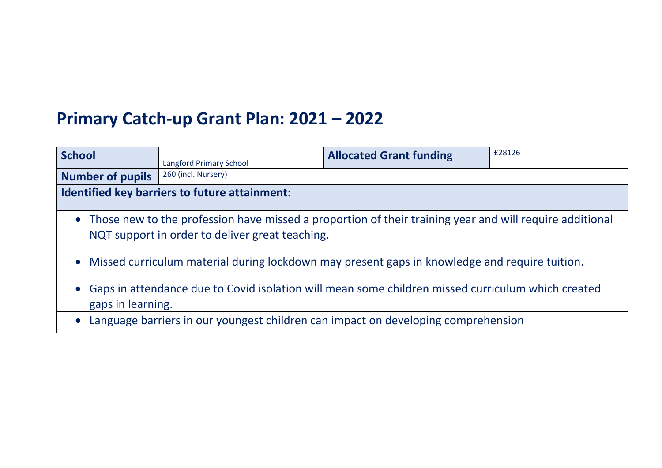## **Primary Catch-up Grant Plan: 2021 – 2022**

| <b>School</b>                                                                                                                                                | <b>Langford Primary School</b> | <b>Allocated Grant funding</b> | £28126 |  |  |
|--------------------------------------------------------------------------------------------------------------------------------------------------------------|--------------------------------|--------------------------------|--------|--|--|
| <b>Number of pupils</b>                                                                                                                                      | 260 (incl. Nursery)            |                                |        |  |  |
| Identified key barriers to future attainment:                                                                                                                |                                |                                |        |  |  |
| • Those new to the profession have missed a proportion of their training year and will require additional<br>NQT support in order to deliver great teaching. |                                |                                |        |  |  |
| • Missed curriculum material during lockdown may present gaps in knowledge and require tuition.                                                              |                                |                                |        |  |  |
| Gaps in attendance due to Covid isolation will mean some children missed curriculum which created<br>gaps in learning.                                       |                                |                                |        |  |  |
| Language barriers in our youngest children can impact on developing comprehension                                                                            |                                |                                |        |  |  |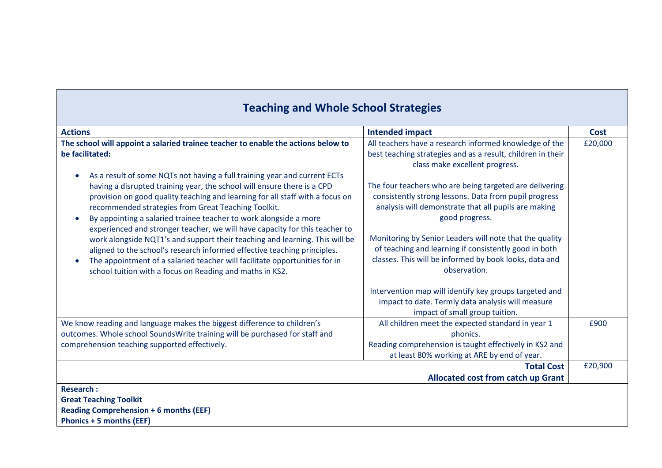| <b>Teaching and Whole School Strategies</b>                                                                                                                                                                                                                                                                                                                                                                                                                   |                                                                                                                                                                                            |             |
|---------------------------------------------------------------------------------------------------------------------------------------------------------------------------------------------------------------------------------------------------------------------------------------------------------------------------------------------------------------------------------------------------------------------------------------------------------------|--------------------------------------------------------------------------------------------------------------------------------------------------------------------------------------------|-------------|
| <b>Actions</b>                                                                                                                                                                                                                                                                                                                                                                                                                                                | <b>Intended impact</b>                                                                                                                                                                     | <b>Cost</b> |
| The school will appoint a salaried trainee teacher to enable the actions below to<br>be facilitated:                                                                                                                                                                                                                                                                                                                                                          | All teachers have a research informed knowledge of the<br>best teaching strategies and as a result, children in their<br>class make excellent progress.                                    | £20,000     |
| As a result of some NQTs not having a full training year and current ECTs<br>having a disrupted training year, the school will ensure there is a CPD<br>provision on good quality teaching and learning for all staff with a focus on<br>recommended strategies from Great Teaching Toolkit.<br>By appointing a salaried trainee teacher to work alongside a more<br>$\bullet$<br>experienced and stronger teacher, we will have capacity for this teacher to | The four teachers who are being targeted are delivering<br>consistently strong lessons. Data from pupil progress<br>analysis will demonstrate that all pupils are making<br>good progress. |             |
| work alongside NQT1's and support their teaching and learning. This will be<br>aligned to the school's research informed effective teaching principles.<br>The appointment of a salaried teacher will facilitate opportunities for in<br>school tuition with a focus on Reading and maths in KS2.                                                                                                                                                             | Monitoring by Senior Leaders will note that the quality<br>of teaching and learning if consistently good in both<br>classes. This will be informed by book looks, data and<br>observation. |             |
|                                                                                                                                                                                                                                                                                                                                                                                                                                                               | Intervention map will identify key groups targeted and<br>impact to date. Termly data analysis will measure<br>impact of small group tuition.                                              |             |
| We know reading and language makes the biggest difference to children's<br>outcomes. Whole school SoundsWrite training will be purchased for staff and<br>comprehension teaching supported effectively.                                                                                                                                                                                                                                                       | All children meet the expected standard in year 1<br>phonics.<br>Reading comprehension is taught effectively in KS2 and<br>at least 80% working at ARE by end of year.                     | £900        |
|                                                                                                                                                                                                                                                                                                                                                                                                                                                               | <b>Total Cost</b><br><b>Allocated cost from catch up Grant</b>                                                                                                                             | £20,900     |
| <b>Research:</b><br><b>Great Teaching Toolkit</b><br><b>Reading Comprehension + 6 months (EEF)</b><br><b>Phonics + 5 months (EEF)</b>                                                                                                                                                                                                                                                                                                                         |                                                                                                                                                                                            |             |